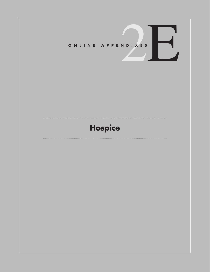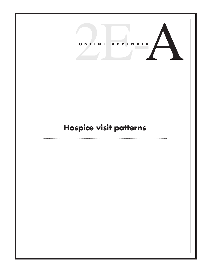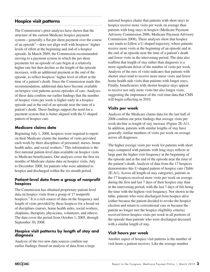# **Hospice visit patterns**

The Commission's prior analyses have shown that the structure of the current Medicare hospice payment system—generally a flat per diem payment over the course of an episode<sup>1</sup>—does not align well with hospices' higher levels of effort at the beginning and end of a hospice episode. In March 2009, the Commission recommended moving to a payment system in which the per diem payments for an episode of care begin at a relatively higher rate but then decline as the length of the episode increases, with an additional payment at the end of the episode, to reflect hospices' higher level of effort at the time of a patient's death. Since the Commission made this recommendation, additional data have become available on hospice visit patterns across episodes of care. Analyses of these data confirm our earlier findings that the number of hospice visits per week is higher early in a hospice episode and at the end of an episode near the time of a patient's death. These findings support the need for a payment system that is better aligned with the U-shaped pattern of hospice care.

## **Medicare claims data**

Beginning July 1, 2008, hospices were required to report on their Medicare claims the number of visits provided each week by three disciplines of personnel: nurses, home health aides, and social workers.<sup>2</sup> This information is the first national patient-level data available on hospice visits to Medicare beneficiaries. Our analyses cover the first six months of Medicare claims data on hospice visits, July to December 2008, for patients who were admitted to hospice and discharged within the six-month period.

### **Patient-level data from a group of nonprofit hospices**

The Commission has obtained proprietary patient-level data on hospice visits from a group of 17 nonprofit hospices.<sup>3</sup> It is a rich source of data on the frequency and length of visits provided by these hospices for a broad set of disciplines (nurses, home health aides, social workers, chaplains, therapists, physicians, volunteers, and others). The data cover the period from October 1, 2005, through September 30, 2008.

### **Hospice visit patterns by length of stay and diagnosis**

Analysis of the two new data sources confirm our earlier findings (based on analysis of data from a large national hospice chain) that patients with short stays in hospice receive more visits per week on average than patients with long stays in hospice (Medicare Payment Advisory Commission 2006, Medicare Payment Advisory Commission 2008). These analyses show that hospice care tends to follow a U-shaped trajectory, where patients receive more visits at the beginning of an episode and at the end of an episode near the time of a patient's death and fewer visits in the intervening period. The data also reaffirm that length of stay rather than diagnosis is a more significant driver of the number of visits per week. Analysis of the mix of visits indicates that patients with shorter stays tend to receive more nurse visits and fewer home health aide visits than patients with longer stays. Finally, beneficiaries with shorter hospice stays appear to receive not only more visits but also longer visits, suggesting the importance of the visit time data that CMS will begin collecting in 2010.

## **Visits per week**

Analysis of the Medicare claims data for the last half of 2008 confirm our prior findings that average visits per week decline as length of stay increase (Figure 2E-A1). In addition, patients with similar lengths of stay have generally similar numbers of visits per week on average across all diagnoses.

The higher average visits per week for patients with short stays compared with patients with long stays reflects in large part the higher visit frequency at the beginning of the episode and at the end of the episode near the time of the patient's death. Analysis of data from the 17 hospices demonstrates this U-shaped pattern of hospice care (Table 2E-A1). Across all length-of-stay categories, patients in the 17 hospices received more visits per week on average during the first and last 7 days of their hospice stay than in the intervening period, with the last 7 days of life being the time with the highest visit frequency. Not shown in the table, patients who were discharged from hospice alive (either because the patient decided to revoke the hospice election and return to conventional care or because the patient no longer met the hospice eligibility criteria) received fewer hospice visits per week in all portions of the episode than patients who were discharged deceased with a similar length of stay.

# **Visit hours per week**

Another aspect of hospice visit patterns is the number of visit hours a patient receives. Like the average number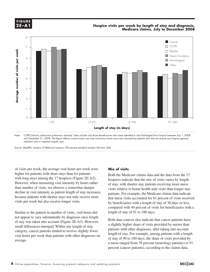

### **Hospice visits per week by length of stay and diagnosis, Medicare claims, July to December 2008**



Note: COPD (chronic obstructive pulmonary disease). Data include only those beneficiaries who were admitted to and discharged from hospice between July 1, 2008, and December 31, 2008. The figure reflects routine home care and continuous home care visits received by patients who did not receive any hospice general inpatient care or inpatient respite care.

Source: MedPAC analysis of Medicare hospice 100 percent standard analytic file from CMS.

of visits per week, the average visit hours per week were higher for patients with short stays than for patients with long stays among the 17 hospices (Figure 2E-A2). However, when measuring visit intensity by hours rather than number of visits, we observe a somewhat sharper when the data is intensity as patient length of stay increases, we consider the data is intensity as patient length of stay increases, patients. For because patients with shorter stays not only receive more that pursual that when yisits accompatible. visits per week but also receive longer visits.

Similar to the pattern in number of visits, visit hours did Figure to the protection matrice to the legend, so I'll just have to I'll just have to control the legend, so I'll just have to control the legend, so I'll just have to control the legend, so I'll just have to control the of stay was taken into account (Figure 2E-A3). However, but the black select select that called patterns have small differences emerged. Within any length-of-stay category, cancer patients tended to receive slightly fewer patient patient patient of the paragraph styles (and object styles) to format. visit hours per week than patients with other diagnoses on average.

### **Mix of visits**

Both the Medicare claims data and the data from the 17 hospices indicate that the mix of visits varies by length of stay, with shorter stay patients receiving more nurse visits relative to home health aide visits than longer stay patients. For example, the Medicare claims data indicate that nurse visits accounted for 61 percent of visits received by beneficiaries with a length of stay of 30 days or less, compared with 44 percent of visits for beneficiaries with a changed and axis lines because they kept resetting when I changed any data. length of stay of 91 to 180 days.

Both data sources also indicate that cancer patients have a slightly higher share of visits provided by nurses than patients with other diagnoses, after taking into account length of stay. For example, among patients with a length  $\frac{d}{dx}$  book that particles what other diagnoses on  $\frac{d}{dx}$  of stay of 90 to 180 days, the share of visits provided by a nurse ranged from 39 percent (neurology patients) to 51 percent (cancer patients), according to the claims data.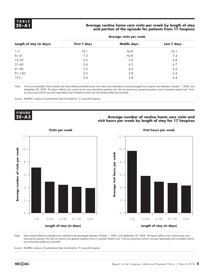### Average routine home care visits per week by length of stay **and portion of the episode for patients from 17 hospices**

| Length of stay (in days) | First 7 days | <b>Middle days</b> | Last 7 days |  |
|--------------------------|--------------|--------------------|-------------|--|
| $1 - 7$                  | 10.1         | N/A                | 10.1        |  |
| $8 - 14$                 | 7.2          | N/A                | 7.4         |  |
|                          | 6.2          | 5.0                | 6.8         |  |
| $15 - 30$<br>$31 - 60$   | 5.6          | 4.3                | 6.7         |  |
| 61-90                    | 5.5          | 4.0                | 6.6         |  |
| $91 - 120$               | 5.5          | 3.8                | 6.4         |  |
| $121+$                   | 5.4          | 3.8                | 6.4         |  |

#### **Average visits per week**

Note: N/A (not available). Data include only those Medicare beneficiaries who were both admitted to and discharged from hospice care between October 1, 2005, and September 30, 2008. The figure reflects only routine home care received by patients who did not receive any general inpatient care or inpatient respite care. Visits by physicians (which are paid separately) and volunteers (which are nonreimbursable) are excluded.

Source: MedPAC analysis of patient-level data furnished by 17 nonprofit hospices.



### **Average number of routine home care visits and <b>Average number** of routine home care visits and **AU visit hours per week by length of stay for 17 hospices**





Note: Data include Medicare beneficiaries admitted and discharged between October 1, 2005, and September 30, 2008. The figure reflects only routine home care received by patients who did not receive any general inpatient care or inpatient respite care. Visits by physicians (which are paid separately) and volunteers (which are nonreimbursable) are excluded.

RHC RHC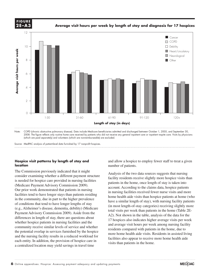

2008. The figure reflects only routine home care received by patients who did not receive any general inpatient care or inpatient respite care. Visits by physicians (which are paid separately) and volunteers (which are nonreimburseable) are excluded.

Source: MedPAC analysis of patient-level data furnished by 17 nonprofit hospices.

### **Hospice visit patterns by length of stay and location**

The Commission previously indicated that it might consider examining whether a different payment structure **EXECUTE:** *Note about the matter of the constraints* **about the constraints of the matter of the set of the matter of the matter of the matter of the matter of the matter of the matter of the matter of the matter of the m** (Medicare Payment Advisory Commission 2009).  $\frac{\text{patches in the}}{\text{account } \Delta \text{cc}}$ Our prior work demonstrated that patients in nursing in nursing in nursing facilities r facilities tend to have longer stays than patients residing in the community, due in part to the higher prevalence of conditions that tend to have longer lengths of stay (e.g., Alzheimer's disease, dementia, debility) (Medicare (e.g., Adzheimer's disease, defining, debinty) (Wedneard total visits per week the legend). Aside from the legal of the legending the legal of the legal of the legal of the legal of the legal of the legal of the legal of t whether hospice patients in nursing facilities and the community receive similar levels of service and whether reside the potential overlap in services furnished by the hospice more home health aide visits. Resider<br>and the nursing facility results in a reduced workload for  $\frac{1}{\sqrt{G}}$ each entity. In addition, the provision of hospice care in a centralized location may yield savings in travel time

and allow a hospice to employ fewer staff to treat a given number of patients.

differences in length of stay, there are questions about  $\frac{AZ}{17}$  beginning also indicates bigher graphs of the bad for modi-Analysis of the two data sources suggests that nursing facility residents receive slightly more hospice visits than patients in the home, once length of stay is taken into account. According to the claims data, hospice patients in nursing facilities received fewer nurse visits and more home health aide visits than hospice patients at home (who have a similar length of stay), with nursing facility patients itions that tend to have longer lengths of stay (in most length-of-stay categories) receiving slightly more total visits per week than patients in the home (Table 2E-A2). Not shown in the table, analysis of the data for the 17 hospices also indicates higher average visits per week and average visit hours per week among nursing facility residents compared with patients in the home, due to more home health aide visits. Residents in assisted living facilities also appear to receive more home health aide visits than patients in the home.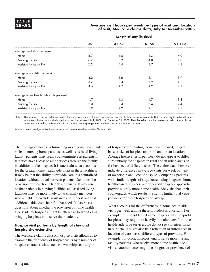### **2E –A2 Average visit hours per week by type of visit and location of visit, Medicare claims data, July to December 2008**

|                                          | Length of stay (in days) |           |       |            |
|------------------------------------------|--------------------------|-----------|-------|------------|
|                                          | $1 - 30$                 | $31 - 60$ | 61-90 | $91 - 180$ |
| Average total visits per week            |                          |           |       |            |
| Home                                     | 6.7                      | 4.8       | 4.3   | 4.0        |
| Nursing facility                         | 6.7                      | 5.2       | 4.8   | 4.6        |
| Assisted living facility                 | 7.3                      | 5.4       | 4.7   | 4.8        |
| Average nurse visits per week            |                          |           |       |            |
| Home                                     | 4.2                      | 2.6       | 2.1   | 1.9        |
| Nursing facility                         | 3.7                      | 2.3       | 1.9   | 1.8        |
| Assisted living facility                 | 4.6                      | 2.7       | 2.2   | 2.1        |
| Average home health aide visits per week |                          |           |       |            |
| Home                                     | 1.7                      | 1.8       | 1.7   | 1.8        |
| Nursing facility                         | 2.0                      | 2.3       | 2.4   | 2.4        |
| Assisted living facility                 | 1.9                      | 2.2       | 2.1   | 2.3        |

Note: The numbers for nurse and home health aide visits do not sum to the total because the total also includes social worker visits. Data include only those beneficiaries who were admitted to and discharged from hospice between July 1, 2008, and December 31, 2008. The table reflects routine home care and continuous home care visits received by patients who did not receive any hospice general inpatient care or inpatient respite care.

Source: MedPAC analysis of Medicare hospice 100 percent standard analytic file from CMS.

The findings of hospices furnishing more home health aide visits to nursing home patients, as well as assisted living facility patients, may seem counterintuitive as patients in facilities have access to aide services through the facility in addition to the hospice. It is uncertain what accounts for the greater home health aide visits in these facilities. It may be that the ability to provide care in a centralized location, without travel between patients, facilitates the provision of more home health aide visits. It may also be that patients in nursing facilities and assisted living facilities may be more likely to lack family members who are able to provide assistance and support and that additional aide visits help fill that need. It also raises questions about whether the provision of home health aide visits by hospices might be attractive to facilities in bringing hospices in to serve their patients.

### **Hospice visit patterns by length of stay and hospice characteristics**

The Medicare claims data on hospice visits allows us to examine the frequency of hospice visits by a number of hospice characteristics, such as ownership status, type

of hospice (freestanding, home health based, hospital based), size of hospice, and rural and urban location. Average hospice visits per week do not appear to differ substantially for hospices in rural and in urban areas or for hospices of different sizes. The claims data, however, indicate differences in average visits per week by type of ownership and type of hospice. Comparing patients with similar lengths of stay, freestanding hospices, homehealth-based hospices, and for-profit hospices appear to provide slightly more home health aide visits than their counterparts, which results in slightly higher total visits per week for these hospices on average.

What accounts for the differences in home health aide visits per week among these providers is uncertain. For example, it is possible that some hospices, like nonprofit hospices, may rely more heavily on volunteers for homehealth-aide-type services; we do not see volunteer visits in our data. It might also be a reflection of differences in location of care across different types of providers. For example, for-profit hospices tend to serve more nursing facility patients, who receive more home health aide visits. Another factor might be the greater prevalence of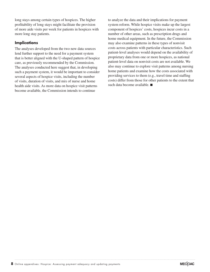long stays among certain types of hospices. The higher profitability of long stays might facilitate the provision of more aide visits per week for patients in hospices with more long stay patients.

### **Implications**

The analyses developed from the two new data sources lend further support to the need for a payment system that is better aligned with the U-shaped pattern of hospice care, as previously recommended by the Commission. The analyses conducted here suggest that, in developing such a payment system, it would be important to consider several aspects of hospice visits, including the number of visits, duration of visits, and mix of nurse and home health aide visits. As more data on hospice visit patterns become available, the Commission intends to continue

to analyze the data and their implications for payment system reform. While hospice visits make up the largest component of hospices' costs, hospices incur costs in a number of other areas, such as prescription drugs and home medical equipment. In the future, the Commission may also examine patterns in these types of nonvisit costs across patients with particular characteristics. Such patient-level analyses would depend on the availability of proprietary data from one or more hospices, as national patient-level data on nonvisit costs are not available. We also may continue to explore visit patterns among nursing home patients and examine how the costs associated with providing services to them (e.g., travel time and staffing costs) differ from those for other patients to the extent that such data become available. ■

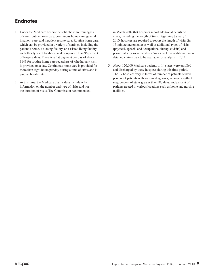# **Endnotes**

- 1 Under the Medicare hospice benefit, there are four types of care: routine home care, continuous home care, general inpatient care, and inpatient respite care. Routine home care, which can be provided in a variety of settings, including the patient's home, a nursing facility, an assisted living facility, and other types of facilities, makes up more than 95 percent of hospice days. There is a flat payment per day of about \$143 for routine home care regardless of whether any visit is provided on a day. Continuous home care is provided for more than eight hours per day during a time of crisis and is paid an hourly rate.
- 2 At this time, the Medicare claims data include only information on the number and type of visits and not the duration of visits. The Commission recommended

in March 2009 that hospices report additional details on visits, including the length of time. Beginning January 1, 2010, hospices are required to report the length of visits (in 15-minute increments) as well as additional types of visits (physical, speech, and occupational therapist visits) and phone calls by social workers. We expect this additional, more detailed claims data to be available for analysis in 2011.

3 About 120,000 Medicare patients in 14 states were enrolled and discharged by these hospices during this time period. The 17 hospices vary in terms of number of patients served, percent of patients with various diagnoses, average length of stay, percent of stays greater than 180 days, and percent of patients treated in various locations such as home and nursing facilities.